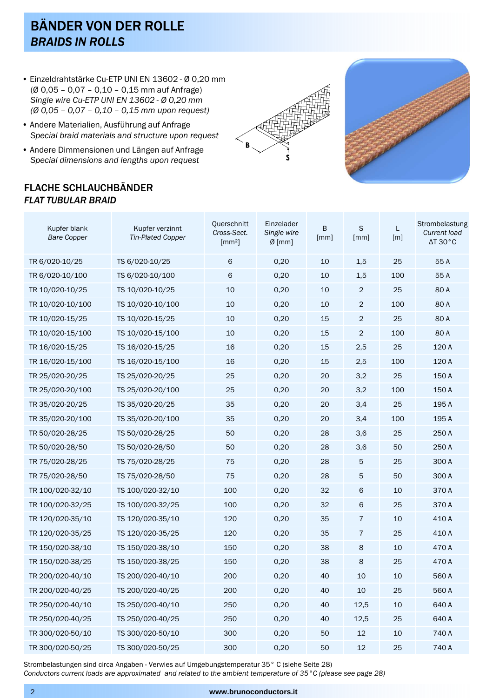## BÄNDER VON DER ROLLE *BRAIDS IN ROLLS*

- Einzeldrahtstärke Cu-ETP UNI EN 13602 Ø 0,20 mm (Ø 0,05 – 0,07 – 0,10 – 0,15 mm auf Anfrage) *Single wire Cu-ETP UNI EN 13602 - Ø 0,20 mm (Ø 0,05 – 0,07 – 0,10 – 0,15 mm upon request)*
- Andere Materialien, Ausführung auf Anfrage *Special braid materials and structure upon request*
- Andere Dimmensionen und Längen auf Anfrage *Special dimensions and lengths upon request*

## FLACHE SCHLAUCHBÄNDER *FLAT TUBULAR BRAID*





| Kupfer blank<br><b>Bare Copper</b> | Kupfer verzinnt<br><b>Tin-Plated Copper</b> | Querschnitt<br>Cross-Sect.<br>$\lceil mm^2 \rceil$ | Einzelader<br>Single wire<br>$Ø$ [mm] | B<br>[mm] | S<br>[mm]      | L<br>$\lceil m \rceil$ | Strombelastung<br>Current load<br>$\Delta T 30^{\circ}C$ |
|------------------------------------|---------------------------------------------|----------------------------------------------------|---------------------------------------|-----------|----------------|------------------------|----------------------------------------------------------|
| TR 6/020-10/25                     | TS 6/020-10/25                              | 6                                                  | 0,20                                  | 10        | 1,5            | 25                     | 55 A                                                     |
| TR 6/020-10/100                    | TS 6/020-10/100                             | 6                                                  | 0,20                                  | 10        | 1,5            | 100                    | 55 A                                                     |
| TR 10/020-10/25                    | TS 10/020-10/25                             | 10                                                 | 0,20                                  | 10        | $\overline{2}$ | 25                     | 80 A                                                     |
| TR 10/020-10/100                   | TS 10/020-10/100                            | 10                                                 | 0,20                                  | 10        | $\overline{c}$ | 100                    | 80 A                                                     |
| TR 10/020-15/25                    | TS 10/020-15/25                             | 10                                                 | 0,20                                  | 15        | $\sqrt{2}$     | 25                     | 80 A                                                     |
| TR 10/020-15/100                   | TS 10/020-15/100                            | 10                                                 | 0,20                                  | 15        | $\overline{2}$ | 100                    | 80 A                                                     |
| TR 16/020-15/25                    | TS 16/020-15/25                             | 16                                                 | 0,20                                  | 15        | 2,5            | 25                     | 120 A                                                    |
| TR 16/020-15/100                   | TS 16/020-15/100                            | 16                                                 | 0,20                                  | 15        | 2,5            | 100                    | 120 A                                                    |
| TR 25/020-20/25                    | TS 25/020-20/25                             | 25                                                 | 0,20                                  | 20        | 3,2            | 25                     | 150 A                                                    |
| TR 25/020-20/100                   | TS 25/020-20/100                            | 25                                                 | 0,20                                  | 20        | 3,2            | 100                    | 150 A                                                    |
| TR 35/020-20/25                    | TS 35/020-20/25                             | 35                                                 | 0,20                                  | 20        | 3,4            | 25                     | 195 A                                                    |
| TR 35/020-20/100                   | TS 35/020-20/100                            | 35                                                 | 0,20                                  | 20        | 3,4            | 100                    | 195 A                                                    |
| TR 50/020-28/25                    | TS 50/020-28/25                             | 50                                                 | 0,20                                  | 28        | 3,6            | 25                     | 250 A                                                    |
| TR 50/020-28/50                    | TS 50/020-28/50                             | 50                                                 | 0,20                                  | 28        | 3,6            | 50                     | 250 A                                                    |
| TR 75/020-28/25                    | TS 75/020-28/25                             | 75                                                 | 0,20                                  | 28        | 5              | 25                     | 300 A                                                    |
| TR 75/020-28/50                    | TS 75/020-28/50                             | 75                                                 | 0,20                                  | 28        | 5              | 50                     | 300 A                                                    |
| TR 100/020-32/10                   | TS 100/020-32/10                            | 100                                                | 0,20                                  | 32        | 6              | 10                     | 370 A                                                    |
| TR 100/020-32/25                   | TS 100/020-32/25                            | 100                                                | 0,20                                  | 32        | 6              | 25                     | 370 A                                                    |
| TR 120/020-35/10                   | TS 120/020-35/10                            | 120                                                | 0,20                                  | 35        | $\overline{7}$ | 10                     | 410 A                                                    |
| TR 120/020-35/25                   | TS 120/020-35/25                            | 120                                                | 0,20                                  | 35        | $\overline{7}$ | 25                     | 410 A                                                    |
| TR 150/020-38/10                   | TS 150/020-38/10                            | 150                                                | 0,20                                  | 38        | 8              | 10                     | 470 A                                                    |
| TR 150/020-38/25                   | TS 150/020-38/25                            | 150                                                | 0,20                                  | 38        | 8              | 25                     | 470 A                                                    |
| TR 200/020-40/10                   | TS 200/020-40/10                            | 200                                                | 0,20                                  | 40        | 10             | 10                     | 560 A                                                    |
| TR 200/020-40/25                   | TS 200/020-40/25                            | 200                                                | 0,20                                  | 40        | 10             | 25                     | 560 A                                                    |
| TR 250/020-40/10                   | TS 250/020-40/10                            | 250                                                | 0,20                                  | 40        | 12,5           | 10                     | 640 A                                                    |
| TR 250/020-40/25                   | TS 250/020-40/25                            | 250                                                | 0,20                                  | 40        | 12,5           | 25                     | 640 A                                                    |
| TR 300/020-50/10                   | TS 300/020-50/10                            | 300                                                | 0,20                                  | 50        | 12             | 10                     | 740 A                                                    |
| TR 300/020-50/25                   | TS 300/020-50/25                            | 300                                                | 0,20                                  | 50        | 12             | 25                     | 740 A                                                    |

Strombelastungen sind circa Angaben - Verwies auf Umgebungstemperatur 35° C (siehe Seite 28)

*Conductors current loads are approximated and related to the ambient temperature of 35°C (please see page 28)*